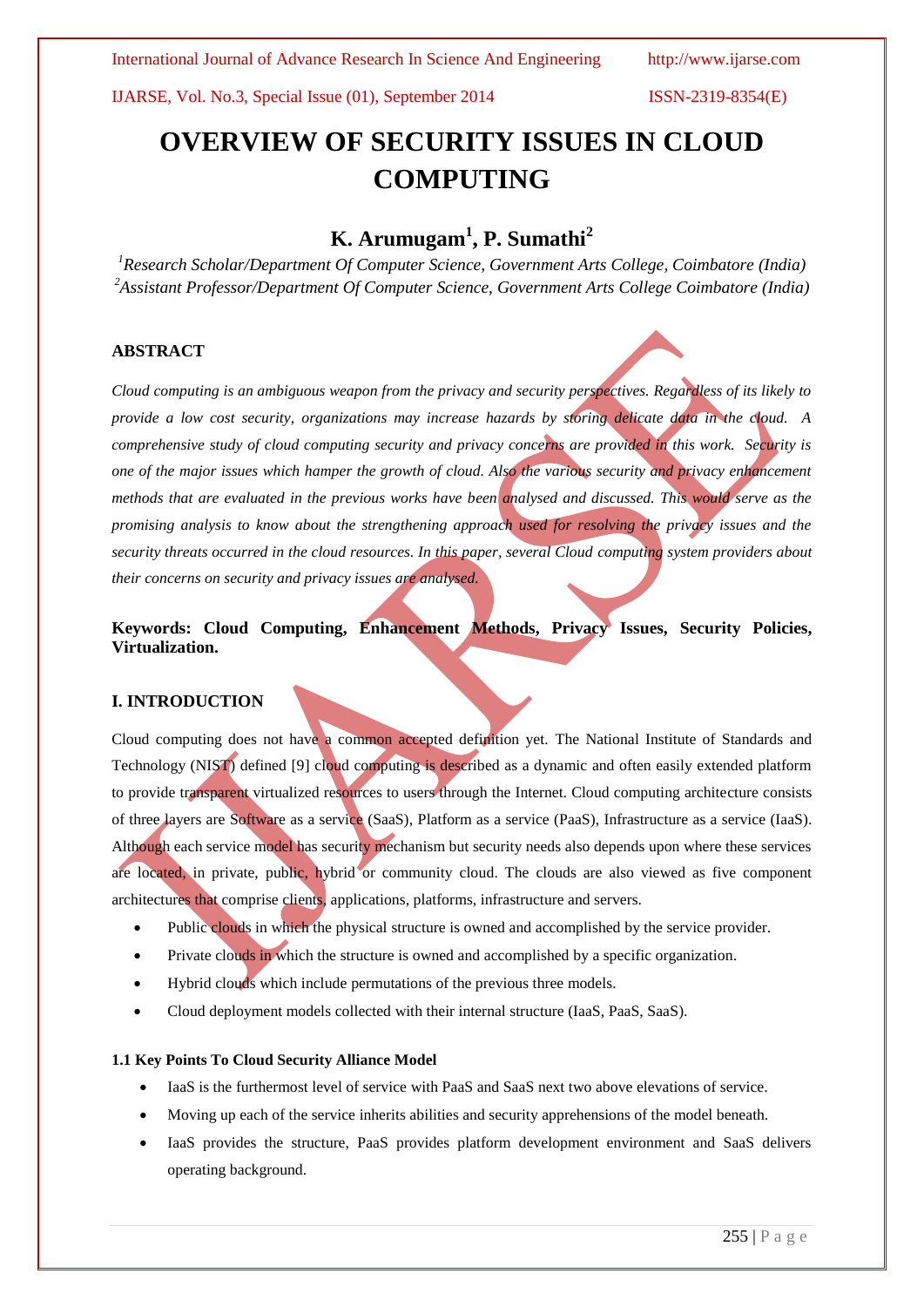# **OVERVIEW OF SECURITY ISSUES IN CLOUD COMPUTING**

# **K. Arumugam<sup>1</sup> , P. Sumathi<sup>2</sup>**

*<sup>1</sup>Research Scholar/Department Of Computer Science, Government Arts College, Coimbatore (India) <sup>2</sup>Assistant Professor/Department Of Computer Science, Government Arts College Coimbatore (India)*

# **ABSTRACT**

*Cloud computing is an ambiguous weapon from the privacy and security perspectives. Regardless of its likely to provide a low cost security, organizations may increase hazards by storing delicate data in the cloud. A comprehensive study of cloud computing security and privacy concerns are provided in this work. Security is one of the major issues which hamper the growth of cloud. Also the various security and privacy enhancement methods that are evaluated in the previous works have been analysed and discussed. This would serve as the promising analysis to know about the strengthening approach used for resolving the privacy issues and the security threats occurred in the cloud resources. In this paper, several Cloud computing system providers about their concerns on security and privacy issues are analysed.*

**Keywords: Cloud Computing, Enhancement Methods, Privacy Issues, Security Policies, Virtualization.**

# **I. INTRODUCTION**

Cloud computing does not have a common accepted definition yet. The National Institute of Standards and Technology (NIST) defined [9] cloud computing is described as a dynamic and often easily extended platform to provide transparent virtualized resources to users through the Internet. Cloud computing architecture consists of three layers are Software as a service (SaaS), Platform as a service (PaaS), Infrastructure as a service (IaaS). Although each service model has security mechanism but security needs also depends upon where these services are located, in private, public, hybrid or community cloud. The clouds are also viewed as five component architectures that comprise clients, applications, platforms, infrastructure and servers.

- Public clouds in which the physical structure is owned and accomplished by the service provider.
- Private clouds in which the structure is owned and accomplished by a specific organization.
- Hybrid clouds which include permutations of the previous three models.
- Cloud deployment models collected with their internal structure (IaaS, PaaS, SaaS).

### **1.1 Key Points To Cloud Security Alliance Model**

- IaaS is the furthermost level of service with PaaS and SaaS next two above elevations of service.
- Moving up each of the service inherits abilities and security apprehensions of the model beneath.
- IaaS provides the structure, PaaS provides platform development environment and SaaS delivers operating background.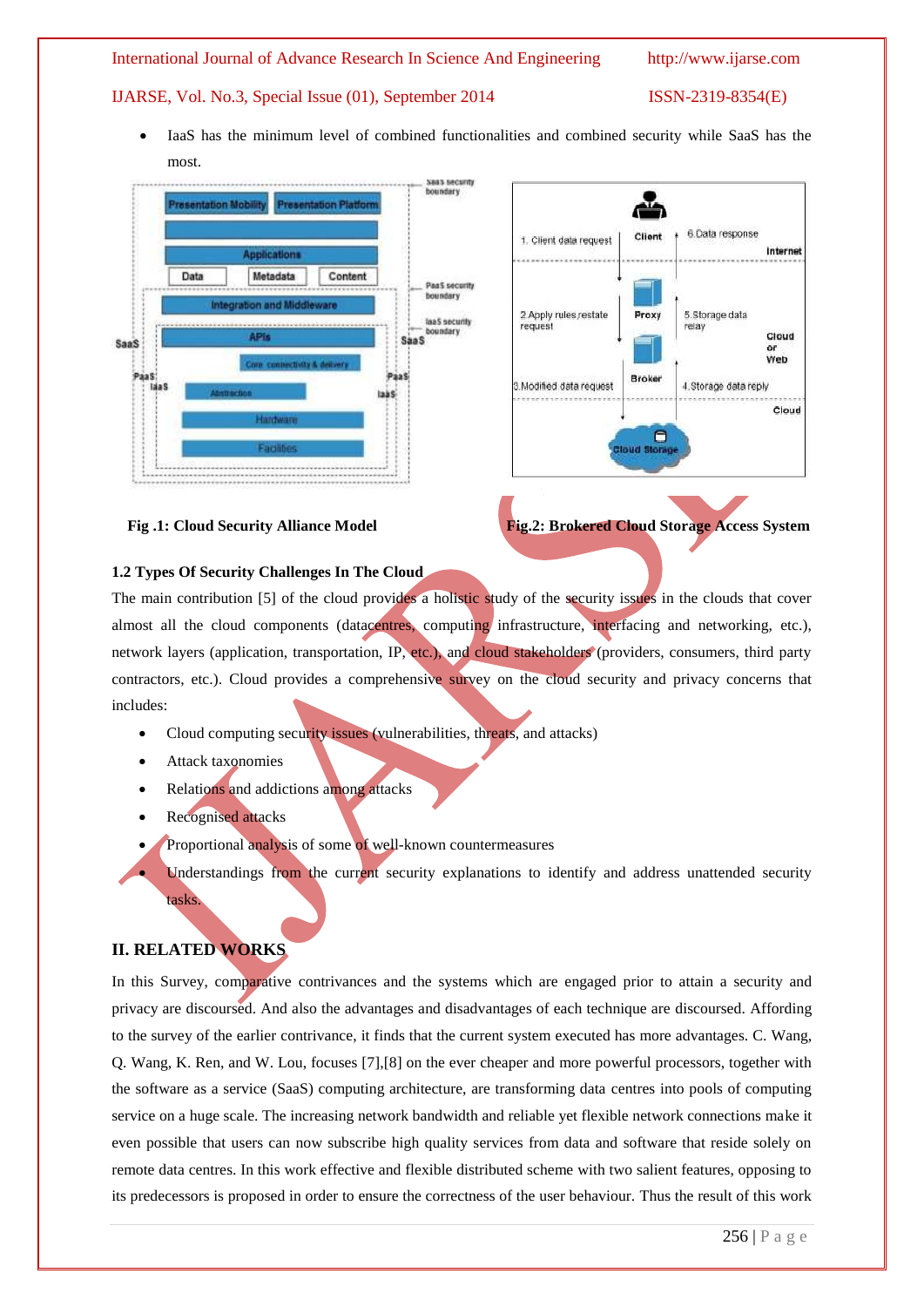IaaS has the minimum level of combined functionalities and combined security while SaaS has the most.





 **Fig .1: Cloud Security Alliance Model Fig.2: Brokered Cloud Storage Access System**

## **1.2 Types Of Security Challenges In The Cloud**

The main contribution [5] of the cloud provides a holistic study of the security issues in the clouds that cover almost all the cloud components (datacentres, computing infrastructure, interfacing and networking, etc.), network layers (application, transportation, IP, etc.), and cloud stakeholders (providers, consumers, third party contractors, etc.). Cloud provides a comprehensive survey on the cloud security and privacy concerns that includes:

- Cloud computing security issues (vulnerabilities, threats, and attacks)
- Attack taxonomies
- Relations and addictions among attacks
- Recognised attacks
- Proportional analysis of some of well-known countermeasures
	- Understandings from the current security explanations to identify and address unattended security

# **II. RELATED WORKS**

tasks.

In this Survey, comparative contrivances and the systems which are engaged prior to attain a security and privacy are discoursed. And also the advantages and disadvantages of each technique are discoursed. Affording to the survey of the earlier contrivance, it finds that the current system executed has more advantages. C. Wang, Q. Wang, K. Ren, and W. Lou, focuses [7],[8] on the ever cheaper and more powerful processors, together with the software as a service (SaaS) computing architecture, are transforming data centres into pools of computing service on a huge scale. The increasing network bandwidth and reliable yet flexible network connections make it even possible that users can now subscribe high quality services from data and software that reside solely on remote data centres. In this work effective and flexible distributed scheme with two salient features, opposing to its predecessors is proposed in order to ensure the correctness of the user behaviour. Thus the result of this work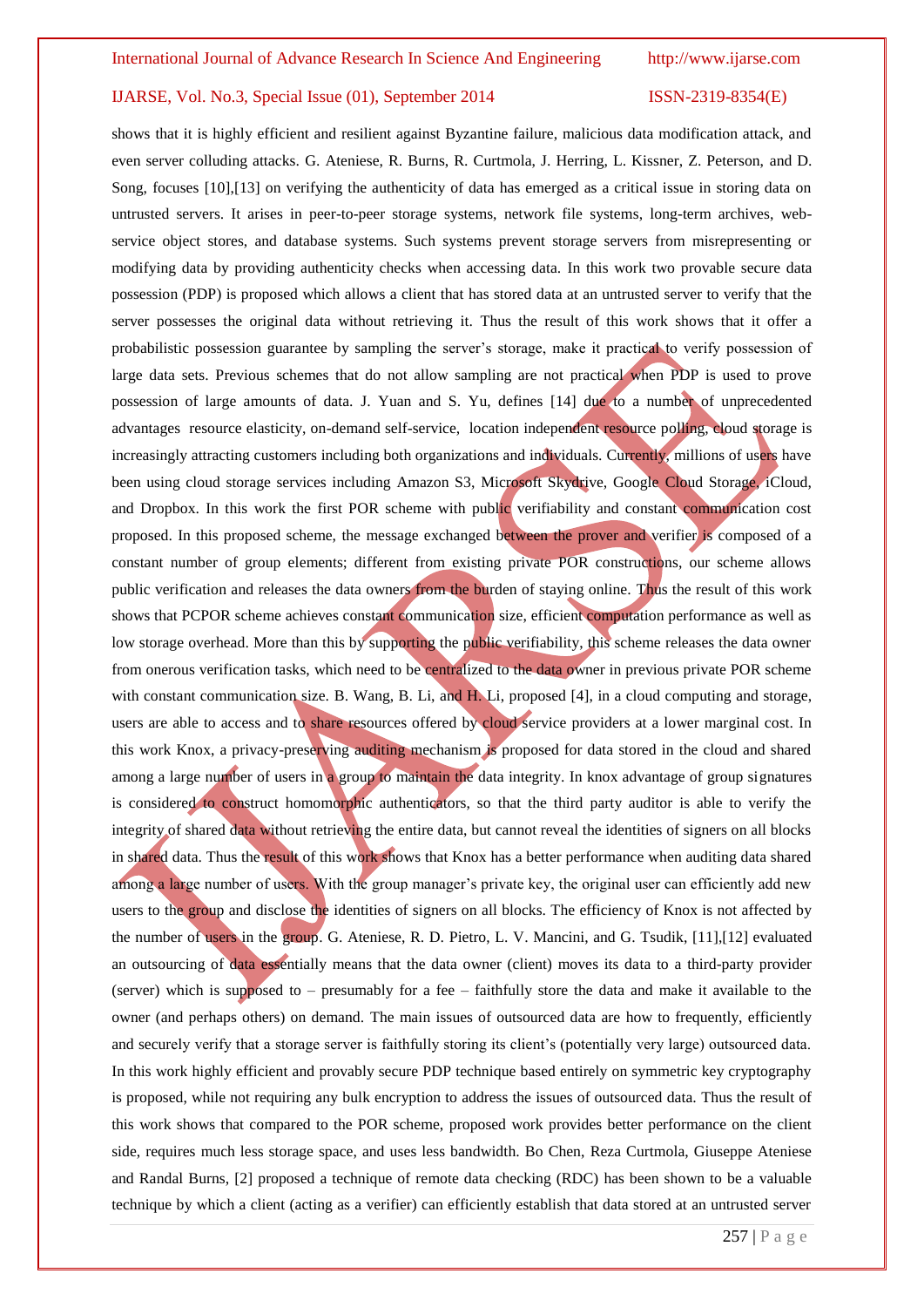shows that it is highly efficient and resilient against Byzantine failure, malicious data modification attack, and even server colluding attacks. G. Ateniese, R. Burns, R. Curtmola, J. Herring, L. Kissner, Z. Peterson, and D. Song, focuses [10],[13] on verifying the authenticity of data has emerged as a critical issue in storing data on untrusted servers. It arises in peer-to-peer storage systems, network file systems, long-term archives, webservice object stores, and database systems. Such systems prevent storage servers from misrepresenting or modifying data by providing authenticity checks when accessing data. In this work two provable secure data possession (PDP) is proposed which allows a client that has stored data at an untrusted server to verify that the server possesses the original data without retrieving it. Thus the result of this work shows that it offer a probabilistic possession guarantee by sampling the server's storage, make it practical to verify possession of large data sets. Previous schemes that do not allow sampling are not practical when PDP is used to prove possession of large amounts of data. J. Yuan and S. Yu, defines [14] due to a number of unprecedented advantages resource elasticity, on-demand self-service, location independent resource polling, cloud storage is increasingly attracting customers including both organizations and individuals. Currently, millions of users have been using cloud storage services including Amazon S3, Microsoft Skydrive, Google Cloud Storage, iCloud, and Dropbox. In this work the first POR scheme with public verifiability and constant communication cost proposed. In this proposed scheme, the message exchanged between the prover and verifier is composed of a constant number of group elements; different from existing private POR constructions, our scheme allows public verification and releases the data owners from the burden of staying online. Thus the result of this work shows that PCPOR scheme achieves constant communication size, efficient computation performance as well as low storage overhead. More than this by supporting the public verifiability, this scheme releases the data owner from onerous verification tasks, which need to be centralized to the data owner in previous private POR scheme with constant communication size. B. Wang, B. Li, and H. Li, proposed [4], in a cloud computing and storage, users are able to access and to share resources offered by cloud service providers at a lower marginal cost. In this work Knox, a privacy-preserving auditing mechanism is proposed for data stored in the cloud and shared among a large number of users in a group to maintain the data integrity. In knox advantage of group signatures is considered to construct homomorphic authenticators, so that the third party auditor is able to verify the integrity of shared data without retrieving the entire data, but cannot reveal the identities of signers on all blocks in shared data. Thus the result of this work shows that Knox has a better performance when auditing data shared among a large number of users. With the group manager's private key, the original user can efficiently add new users to the group and disclose the identities of signers on all blocks. The efficiency of Knox is not affected by the number of users in the group. G. Ateniese, R. D. Pietro, L. V. Mancini, and G. Tsudik, [11],[12] evaluated an outsourcing of data essentially means that the data owner (client) moves its data to a third-party provider (server) which is supposed to – presumably for a fee – faithfully store the data and make it available to the owner (and perhaps others) on demand. The main issues of outsourced data are how to frequently, efficiently and securely verify that a storage server is faithfully storing its client's (potentially very large) outsourced data. In this work highly efficient and provably secure PDP technique based entirely on symmetric key cryptography is proposed, while not requiring any bulk encryption to address the issues of outsourced data. Thus the result of this work shows that compared to the POR scheme, proposed work provides better performance on the client side, requires much less storage space, and uses less bandwidth. Bo Chen, Reza Curtmola, Giuseppe Ateniese and Randal Burns, [2] proposed a technique of remote data checking (RDC) has been shown to be a valuable technique by which a client (acting as a verifier) can efficiently establish that data stored at an untrusted server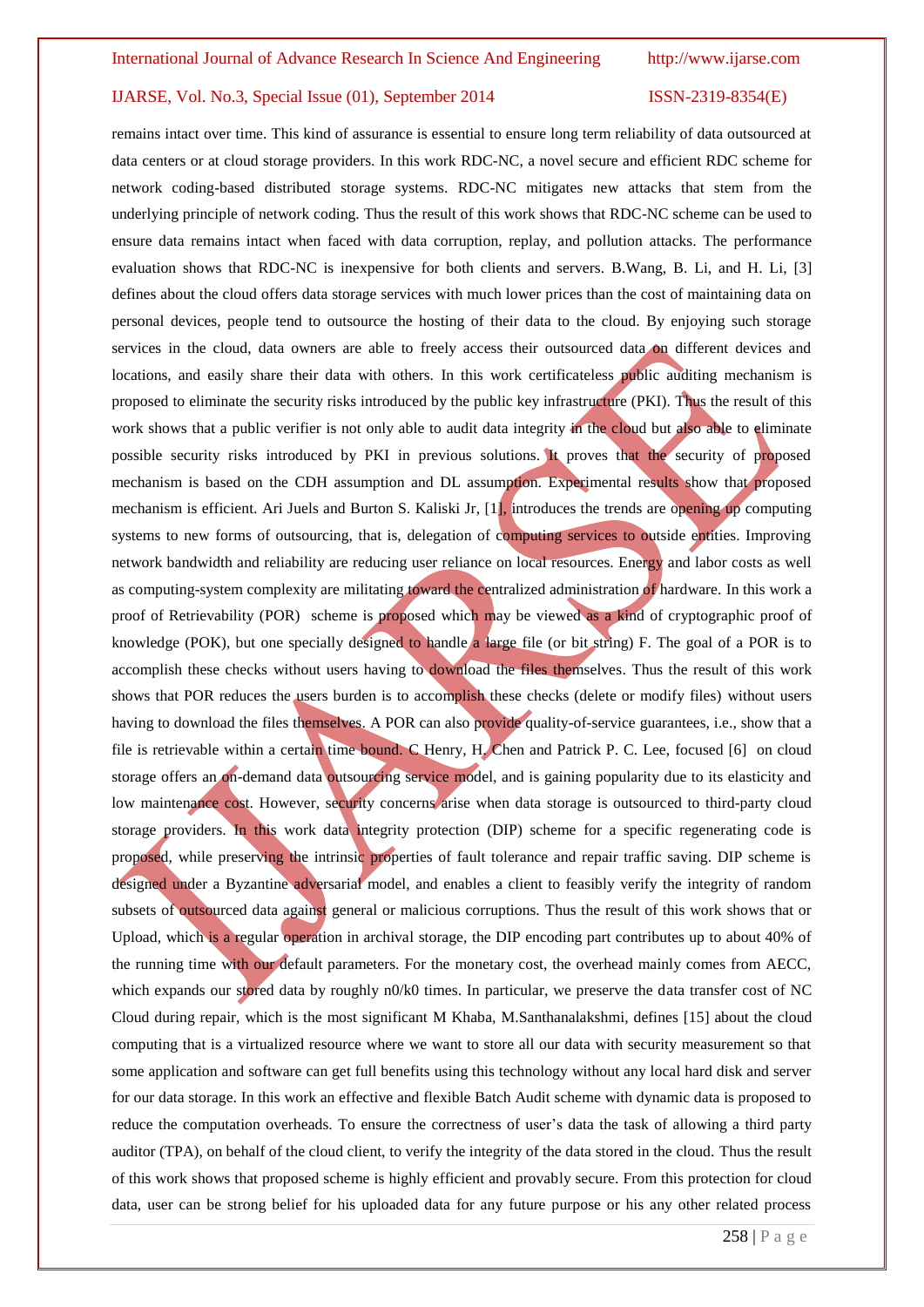remains intact over time. This kind of assurance is essential to ensure long term reliability of data outsourced at data centers or at cloud storage providers. In this work RDC-NC, a novel secure and efficient RDC scheme for network coding-based distributed storage systems. RDC-NC mitigates new attacks that stem from the underlying principle of network coding. Thus the result of this work shows that RDC-NC scheme can be used to ensure data remains intact when faced with data corruption, replay, and pollution attacks. The performance evaluation shows that RDC-NC is inexpensive for both clients and servers. B.Wang, B. Li, and H. Li, [3] defines about the cloud offers data storage services with much lower prices than the cost of maintaining data on personal devices, people tend to outsource the hosting of their data to the cloud. By enjoying such storage services in the cloud, data owners are able to freely access their outsourced data on different devices and locations, and easily share their data with others. In this work certificateless public auditing mechanism is proposed to eliminate the security risks introduced by the public key infrastructure (PKI). Thus the result of this work shows that a public verifier is not only able to audit data integrity in the cloud but also able to eliminate possible security risks introduced by PKI in previous solutions. It proves that the security of proposed mechanism is based on the CDH assumption and DL assumption. Experimental results show that proposed mechanism is efficient. Ari Juels and Burton S. Kaliski Jr, [1], introduces the trends are opening up computing systems to new forms of outsourcing, that is, delegation of computing services to outside entities. Improving network bandwidth and reliability are reducing user reliance on local resources. Energy and labor costs as well as computing-system complexity are militating toward the centralized administration of hardware. In this work a proof of Retrievability (POR) scheme is proposed which may be viewed as a kind of cryptographic proof of knowledge (POK), but one specially designed to handle a large file (or bit string) F. The goal of a POR is to accomplish these checks without users having to download the files themselves. Thus the result of this work shows that POR reduces the users burden is to accomplish these checks (delete or modify files) without users having to download the files themselves. A POR can also provide quality-of-service guarantees, i.e., show that a file is retrievable within a certain time bound. C Henry, H. Chen and Patrick P. C. Lee, focused [6] on cloud storage offers an on-demand data outsourcing service model, and is gaining popularity due to its elasticity and low maintenance cost. However, security concerns arise when data storage is outsourced to third-party cloud storage providers. In this work data integrity protection (DIP) scheme for a specific regenerating code is proposed, while preserving the intrinsic properties of fault tolerance and repair traffic saving. DIP scheme is designed under a Byzantine adversarial model, and enables a client to feasibly verify the integrity of random subsets of outsourced data against general or malicious corruptions. Thus the result of this work shows that or Upload, which is a regular operation in archival storage, the DIP encoding part contributes up to about 40% of the running time with our default parameters. For the monetary cost, the overhead mainly comes from AECC, which expands our stored data by roughly n0/k0 times. In particular, we preserve the data transfer cost of NC Cloud during repair, which is the most significant M Khaba, M.Santhanalakshmi, defines [15] about the cloud computing that is a virtualized resource where we want to store all our data with security measurement so that some application and software can get full benefits using this technology without any local hard disk and server for our data storage. In this work an effective and flexible Batch Audit scheme with dynamic data is proposed to reduce the computation overheads. To ensure the correctness of user's data the task of allowing a third party auditor (TPA), on behalf of the cloud client, to verify the integrity of the data stored in the cloud. Thus the result of this work shows that proposed scheme is highly efficient and provably secure. From this protection for cloud data, user can be strong belief for his uploaded data for any future purpose or his any other related process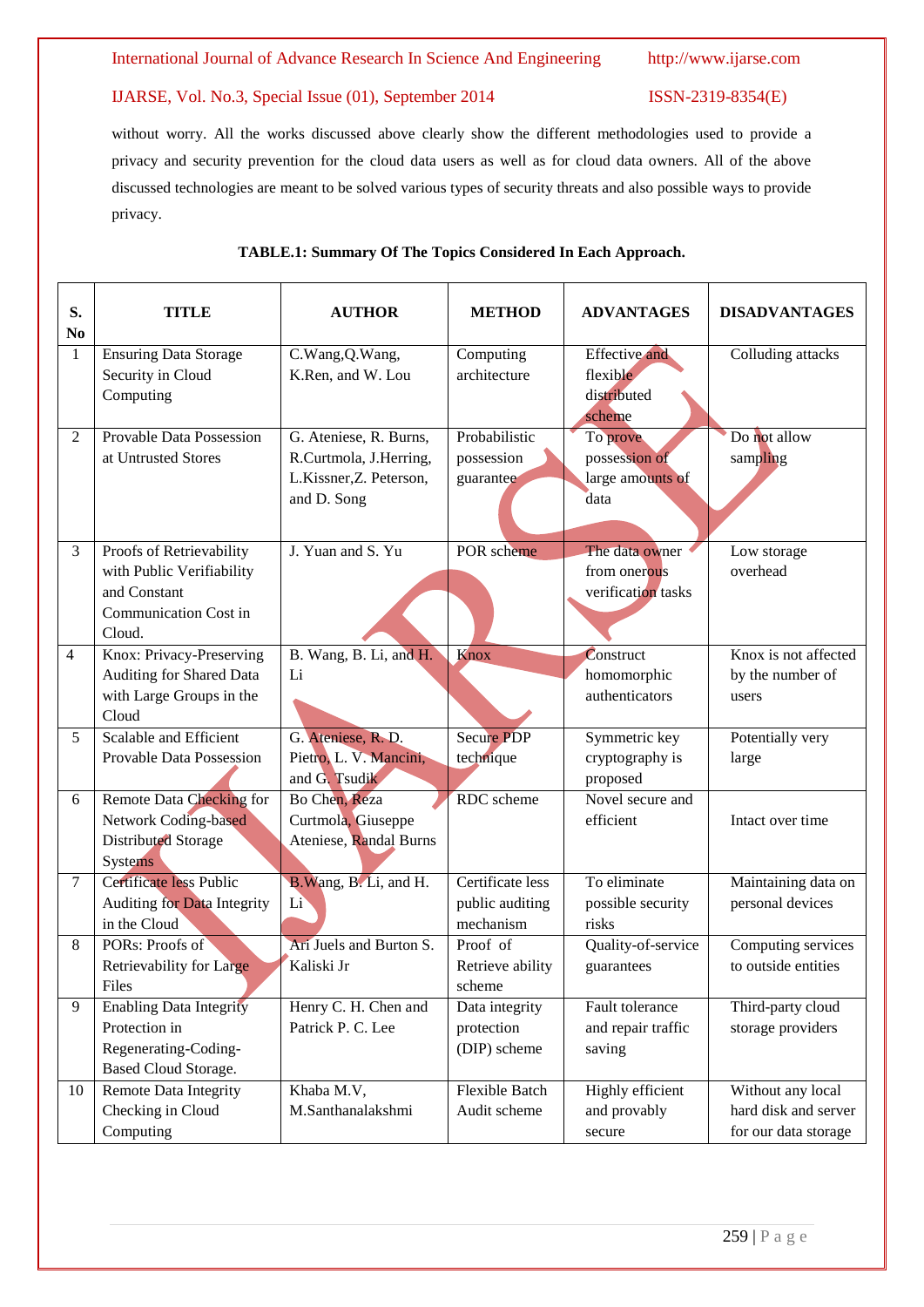without worry. All the works discussed above clearly show the different methodologies used to provide a privacy and security prevention for the cloud data users as well as for cloud data owners. All of the above discussed technologies are meant to be solved various types of security threats and also possible ways to provide privacy.

| S.<br>No       | TITLE                                       | <b>AUTHOR</b>           | <b>METHOD</b>                | <b>ADVANTAGES</b>                  | <b>DISADVANTAGES</b> |
|----------------|---------------------------------------------|-------------------------|------------------------------|------------------------------------|----------------------|
| $\mathbf{1}$   | <b>Ensuring Data Storage</b>                | C.Wang, Q.Wang,         | Computing                    | <b>Effective</b> and               | Colluding attacks    |
|                | Security in Cloud                           | K.Ren, and W. Lou       | architecture                 | flexible                           |                      |
|                | Computing                                   |                         |                              | distributed                        |                      |
| 2              | <b>Provable Data Possession</b>             | G. Ateniese, R. Burns,  | Probabilistic                | scheme<br>To prove                 | Do not allow         |
|                | at Untrusted Stores                         | R.Curtmola, J.Herring,  | possession                   | possession of                      | sampling             |
|                |                                             | L.Kissner, Z. Peterson, | guarantee                    | large amounts of                   |                      |
|                |                                             | and D. Song             |                              | data                               |                      |
|                |                                             |                         |                              |                                    |                      |
|                |                                             |                         |                              |                                    |                      |
| 3              | Proofs of Retrievability                    | J. Yuan and S. Yu       | POR scheme                   | The data owner                     | Low storage          |
|                | with Public Verifiability<br>and Constant   |                         |                              | from onerous<br>verification tasks | overhead             |
|                | Communication Cost in                       |                         |                              |                                    |                      |
|                | Cloud.                                      |                         |                              |                                    |                      |
| $\overline{4}$ | Knox: Privacy-Preserving                    | B. Wang, B. Li, and H.  | Knox                         | Construct                          | Knox is not affected |
|                | Auditing for Shared Data                    | Li                      |                              | homomorphic                        | by the number of     |
|                | with Large Groups in the                    |                         |                              | authenticators                     | users                |
|                | Cloud                                       |                         |                              |                                    |                      |
| 5              | Scalable and Efficient                      | G. Ateniese, R. D.      | <b>Secure PDP</b>            | Symmetric key                      | Potentially very     |
|                | Provable Data Possession                    | Pietro, L. V. Mancini,  | technique                    | cryptography is                    | large                |
|                |                                             | and G. Tsudik           |                              | proposed                           |                      |
| 6              | Remote Data Checking for                    | Bo Chen, Reza           | RDC scheme                   | Novel secure and                   |                      |
|                | Network Coding-based                        | Curtmola, Giuseppe      |                              | efficient                          | Intact over time     |
|                | Distributed Storage                         | Ateniese, Randal Burns  |                              |                                    |                      |
|                | <b>Systems</b>                              |                         |                              |                                    |                      |
| $\tau$         | Certificate less Public                     | B. Wang, B. Li, and H.  | Certificate less             | To eliminate                       | Maintaining data on  |
|                | Auditing for Data Integrity<br>in the Cloud | Li                      | public auditing<br>mechanism | possible security<br>risks         | personal devices     |
| 8              | PORs: Proofs of                             | Ari Juels and Burton S. | Proof of                     | Quality-of-service                 | Computing services   |
|                | Retrievability for Large                    | Kaliski Jr              | Retrieve ability             | guarantees                         | to outside entities  |
|                | Files                                       |                         | scheme                       |                                    |                      |
| 9              | <b>Enabling Data Integrity</b>              | Henry C. H. Chen and    | Data integrity               | Fault tolerance                    | Third-party cloud    |
|                | Protection in                               | Patrick P. C. Lee       | protection                   | and repair traffic                 | storage providers    |
|                | Regenerating-Coding-                        |                         | (DIP) scheme                 | saving                             |                      |
|                | Based Cloud Storage.                        |                         |                              |                                    |                      |
| 10             | Remote Data Integrity                       | Khaba M.V,              | <b>Flexible Batch</b>        | Highly efficient                   | Without any local    |
|                | Checking in Cloud                           | M.Santhanalakshmi       | Audit scheme                 | and provably                       | hard disk and server |
|                | Computing                                   |                         |                              | secure                             | for our data storage |

## **TABLE.1: Summary Of The Topics Considered In Each Approach.**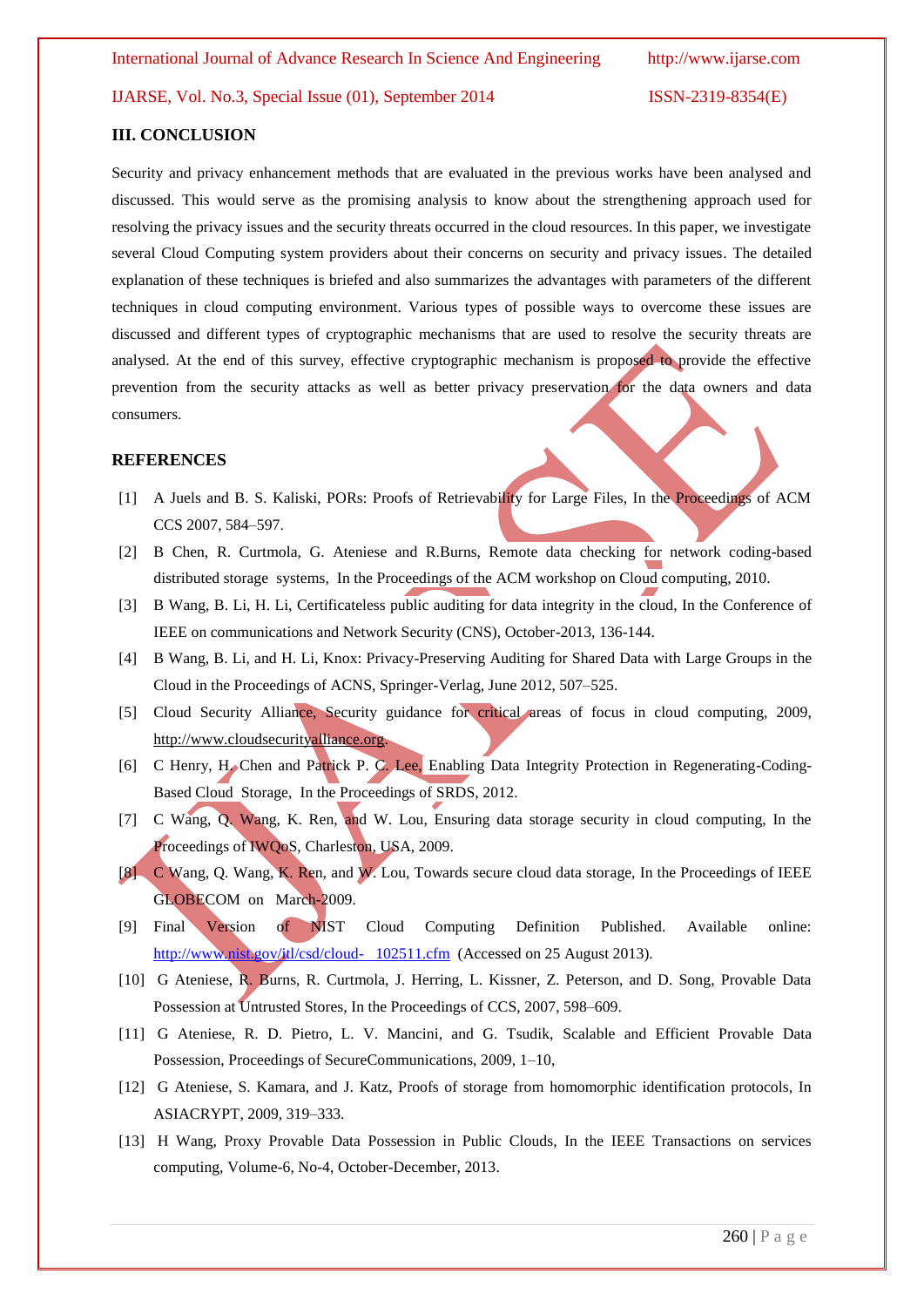### **III. CONCLUSION**

Security and privacy enhancement methods that are evaluated in the previous works have been analysed and discussed. This would serve as the promising analysis to know about the strengthening approach used for resolving the privacy issues and the security threats occurred in the cloud resources. In this paper, we investigate several Cloud Computing system providers about their concerns on security and privacy issues. The detailed explanation of these techniques is briefed and also summarizes the advantages with parameters of the different techniques in cloud computing environment. Various types of possible ways to overcome these issues are discussed and different types of cryptographic mechanisms that are used to resolve the security threats are analysed. At the end of this survey, effective cryptographic mechanism is proposed to provide the effective prevention from the security attacks as well as better privacy preservation for the data owners and data consumers.

### **REFERENCES**

- [1] A Juels and B. S. Kaliski, PORs: Proofs of Retrievability for Large Files, In the Proceedings of ACM CCS 2007, 584–597.
- [2] B Chen, R. Curtmola, G. Ateniese and R.Burns, Remote data checking for network coding-based distributed storage systems, In the Proceedings of the ACM workshop on Cloud computing, 2010.
- [3] B Wang, B. Li, H. Li, Certificateless public auditing for data integrity in the cloud, In the Conference of IEEE on communications and Network Security (CNS), October-2013, 136-144.
- [4] B Wang, B. Li, and H. Li, Knox: Privacy-Preserving Auditing for Shared Data with Large Groups in the Cloud in the Proceedings of ACNS, Springer-Verlag, June 2012, 507–525.
- [5] Cloud Security Alliance, Security guidance for critical areas of focus in cloud computing, 2009, [http://www.cloudsecurityalliance.org.](http://www.cloudsecurityalliance.org/)
- [6] C Henry, H. Chen and Patrick P. C. Lee, Enabling Data Integrity Protection in Regenerating-Coding-Based Cloud Storage, In the Proceedings of SRDS, 2012.
- [7] C Wang, Q. Wang, K. Ren, and W. Lou, Ensuring data storage security in cloud computing, In the Proceedings of IWQoS, Charleston, USA, 2009.
- [8] C Wang, Q. Wang, K. Ren, and W. Lou, Towards secure cloud data storage, In the Proceedings of IEEE GLOBECOM on March-2009.
- [9] Final Version of NIST Cloud Computing Definition Published. Available online: [http://www.nist.gov/itl/csd/cloud- 102511.cfm](http://www.nist.gov/itl/csd/cloud-%20%20%20102511.cfm) (Accessed on 25 August 2013).
- [10] G Ateniese, R. Burns, R. Curtmola, J. Herring, L. Kissner, Z. Peterson, and D. Song, Provable Data Possession at Untrusted Stores, In the Proceedings of CCS, 2007, 598–609.
- [11] G Ateniese, R. D. Pietro, L. V. Mancini, and G. Tsudik, Scalable and Efficient Provable Data Possession, Proceedings of SecureCommunications, 2009, 1–10,
- [12] G Ateniese, S. Kamara, and J. Katz, Proofs of storage from homomorphic identification protocols, In ASIACRYPT, 2009, 319–333.
- [13] H Wang, Proxy Provable Data Possession in Public Clouds, In the IEEE Transactions on services computing, Volume-6, No-4, October-December, 2013.